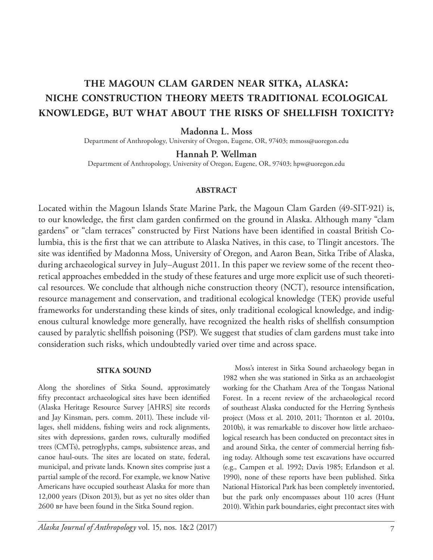# **the magoun clam garden near sitka, alaska: niche construction theory meets traditional ecological knowledge, but what about the risks of shellfish toxicity?**

# **Madonna L. Moss**

Department of Anthropology, University of Oregon, Eugene, OR, 97403; mmoss@uoregon.edu

**Hannah P. Wellman**

Department of Anthropology, University of Oregon, Eugene, OR, 97403; hpw@uoregon.edu

#### **abstract**

Located within the Magoun Islands State Marine Park, the Magoun Clam Garden (49-SIT-921) is, to our knowledge, the first clam garden confirmed on the ground in Alaska. Although many "clam gardens" or "clam terraces" constructed by First Nations have been identified in coastal British Columbia, this is the first that we can attribute to Alaska Natives, in this case, to Tlingit ancestors. The site was identified by Madonna Moss, University of Oregon, and Aaron Bean, Sitka Tribe of Alaska, during archaeological survey in July–August 2011. In this paper we review some of the recent theoretical approaches embedded in the study of these features and urge more explicit use of such theoretical resources. We conclude that although niche construction theory (NCT), resource intensification, resource management and conservation, and traditional ecological knowledge (TEK) provide useful frameworks for understanding these kinds of sites, only traditional ecological knowledge, and indigenous cultural knowledge more generally, have recognized the health risks of shellfish consumption caused by paralytic shellfish poisoning (PSP). We suggest that studies of clam gardens must take into consideration such risks, which undoubtedly varied over time and across space.

#### **sitka sound**

Along the shorelines of Sitka Sound, approximately fifty precontact archaeological sites have been identified (Alaska Heritage Resource Survey [AHRS] site records and Jay Kinsman, pers. comm. 2011). These include villages, shell middens, fishing weirs and rock alignments, sites with depressions, garden rows, culturally modified trees (CMTs), petroglyphs, camps, subsistence areas, and canoe haul-outs. The sites are located on state, federal, municipal, and private lands. Known sites comprise just a partial sample of the record. For example, we know Native Americans have occupied southeast Alaska for more than 12,000 years (Dixon 2013), but as yet no sites older than 2600 bp have been found in the Sitka Sound region.

Moss's interest in Sitka Sound archaeology began in 1982 when she was stationed in Sitka as an archaeologist working for the Chatham Area of the Tongass National Forest. In a recent review of the archaeological record of southeast Alaska conducted for the Herring Synthesis project (Moss et al. 2010, 2011; Thornton et al. 2010a, 2010b), it was remarkable to discover how little archaeological research has been conducted on precontact sites in and around Sitka, the center of commercial herring fishing today. Although some test excavations have occurred (e.g., Campen et al. 1992; Davis 1985; Erlandson et al. 1990), none of these reports have been published. Sitka National Historical Park has been completely inventoried, but the park only encompasses about 110 acres (Hunt 2010). Within park boundaries, eight precontact sites with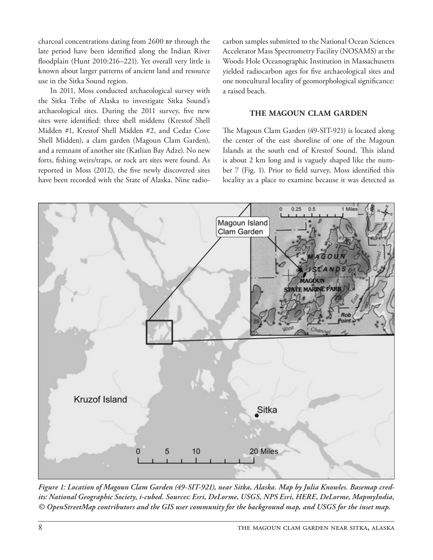charcoal concentrations dating from 2600 BP through the late period have been identified along the Indian River floodplain (Hunt 2010:216–221). Yet overall very little is known about larger patterns of ancient land and resource use in the Sitka Sound region.

In 2011, Moss conducted archaeological survey with the Sitka Tribe of Alaska to investigate Sitka Sound's archaeological sites. During the 2011 survey, five new sites were identified: three shell middens (Krestof Shell Midden #1, Krestof Shell Midden #2, and Cedar Cove Shell Midden), a clam garden (Magoun Clam Garden), and a remnant of another site (Katlian Bay Adze). No new forts, fishing weirs/traps, or rock art sites were found. As reported in Moss (2012), the five newly discovered sites have been recorded with the State of Alaska. Nine radiocarbon samples submitted to the National Ocean Sciences Accelerator Mass Spectrometry Facility (NOSAMS) at the Woods Hole Oceanographic Institution in Massachusetts yielded radiocarbon ages for five archaeological sites and one noncultural locality of geomorphological significance: a raised beach.

#### **the magoun clam garden**

The Magoun Clam Garden (49-SIT-921) is located along the center of the east shoreline of one of the Magoun Islands at the south end of Krestof Sound. This island is about 2 km long and is vaguely shaped like the number 7 (Fig. 1). Prior to field survey, Moss identified this locality as a place to examine because it was detected as



*Figure 1: Location of Magoun Clam Garden (49-SIT-921), near Sitka, Alaska. Map by Julia Knowles. Basemap credits: National Geographic Society, i-cubed. Sources: Esri, DeLorme, USGS, NPS Esri, HERE, DeLorme, MapmyIndia, © OpenStreetMap contributors and the GIS user community for the background map, and USGS for the inset map.*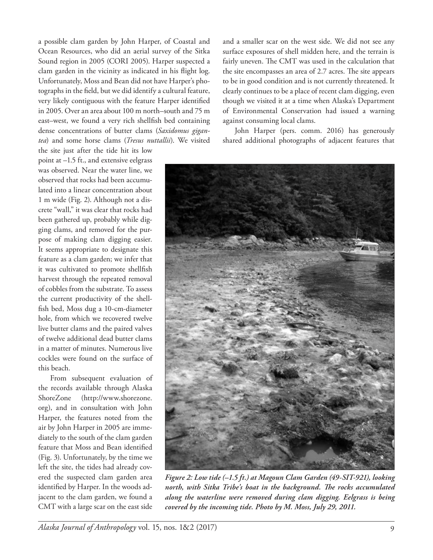a possible clam garden by John Harper, of Coastal and Ocean Resources, who did an aerial survey of the Sitka Sound region in 2005 (CORI 2005). Harper suspected a clam garden in the vicinity as indicated in his flight log. Unfortunately, Moss and Bean did not have Harper's photographs in the field, but we did identify a cultural feature, very likely contiguous with the feature Harper identified in 2005. Over an area about 100 m north–south and 75 m east–west, we found a very rich shellfish bed containing dense concentrations of butter clams (*Saxidomus gigantea*) and some horse clams (*Tresus nuttallii*). We visited

the site just after the tide hit its low point at –1.5 ft., and extensive eelgrass was observed. Near the water line, we observed that rocks had been accumulated into a linear concentration about 1 m wide (Fig. 2). Although not a discrete "wall," it was clear that rocks had been gathered up, probably while digging clams, and removed for the purpose of making clam digging easier. It seems appropriate to designate this feature as a clam garden; we infer that it was cultivated to promote shellfish harvest through the repeated removal of cobbles from the substrate. To assess the current productivity of the shellfish bed, Moss dug a 10-cm-diameter hole, from which we recovered twelve live butter clams and the paired valves of twelve additional dead butter clams in a matter of minutes. Numerous live cockles were found on the surface of this beach.

From subsequent evaluation of the records available through Alaska ShoreZone (http://www.shorezone. org), and in consultation with John Harper, the features noted from the air by John Harper in 2005 are immediately to the south of the clam garden feature that Moss and Bean identified (Fig. 3). Unfortunately, by the time we left the site, the tides had already covered the suspected clam garden area identified by Harper. In the woods adjacent to the clam garden, we found a CMT with a large scar on the east side

and a smaller scar on the west side. We did not see any surface exposures of shell midden here, and the terrain is fairly uneven. The CMT was used in the calculation that the site encompasses an area of 2.7 acres. The site appears to be in good condition and is not currently threatened. It clearly continues to be a place of recent clam digging, even though we visited it at a time when Alaska's Department of Environmental Conservation had issued a warning against consuming local clams.

John Harper (pers. comm. 2016) has generously shared additional photographs of adjacent features that



*Figure 2: Low tide (–1.5 ft.) at Magoun Clam Garden (49-SIT-921), looking north, with Sitka Tribe's boat in the background. The rocks accumulated along the waterline were removed during clam digging. Eelgrass is being covered by the incoming tide. Photo by M. Moss, July 29, 2011.*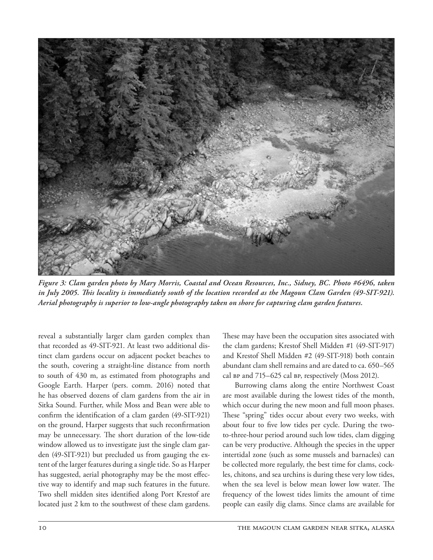

*Figure 3: Clam garden photo by Mary Morris, Coastal and Ocean Resources, Inc., Sidney, BC. Photo #6496, taken*  in July 2005. This locality is immediately south of the location recorded as the Magoun Clam Garden (49-SIT-921). *Aerial photography is superior to low-angle photography taken on shore for capturing clam garden features.*

reveal a substantially larger clam garden complex than that recorded as 49-SIT-921. At least two additional distinct clam gardens occur on adjacent pocket beaches to the south, covering a straight-line distance from north to south of 430 m, as estimated from photographs and Google Earth. Harper (pers. comm. 2016) noted that he has observed dozens of clam gardens from the air in Sitka Sound. Further, while Moss and Bean were able to confirm the identification of a clam garden (49-SIT-921) on the ground, Harper suggests that such reconfirmation may be unnecessary. The short duration of the low-tide window allowed us to investigate just the single clam garden (49-SIT-921) but precluded us from gauging the extent of the larger features during a single tide. So as Harper has suggested, aerial photography may be the most effective way to identify and map such features in the future. Two shell midden sites identified along Port Krestof are located just 2 km to the southwest of these clam gardens. These may have been the occupation sites associated with the clam gardens; Krestof Shell Midden #1 (49-SIT-917) and Krestof Shell Midden #2 (49-SIT-918) both contain abundant clam shell remains and are dated to ca. 650–565 cal bp and 715–625 cal bp, respectively (Moss 2012).

Burrowing clams along the entire Northwest Coast are most available during the lowest tides of the month, which occur during the new moon and full moon phases. These "spring" tides occur about every two weeks, with about four to five low tides per cycle. During the twoto-three-hour period around such low tides, clam digging can be very productive. Although the species in the upper intertidal zone (such as some mussels and barnacles) can be collected more regularly, the best time for clams, cockles, chitons, and sea urchins is during these very low tides, when the sea level is below mean lower low water. The frequency of the lowest tides limits the amount of time people can easily dig clams. Since clams are available for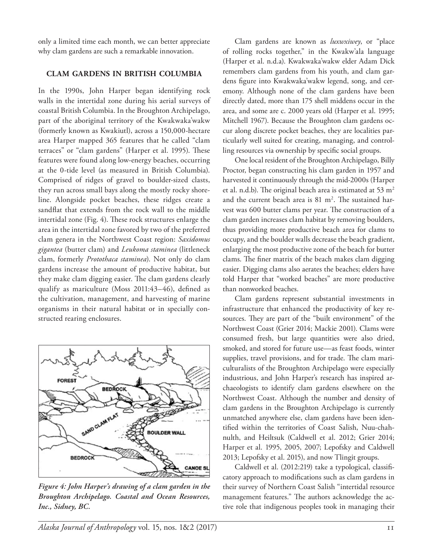only a limited time each month, we can better appreciate why clam gardens are such a remarkable innovation.

### **clam gardens in british columbia**

In the 1990s, John Harper began identifying rock walls in the intertidal zone during his aerial surveys of coastal British Columbia. In the Broughton Archipelago, part of the aboriginal territory of the Kwakwaka'wakw (formerly known as Kwakiutl), across a 150,000-hectare area Harper mapped 365 features that he called "clam terraces" or "clam gardens" (Harper et al. 1995). These features were found along low-energy beaches, occurring at the 0-tide level (as measured in British Columbia). Comprised of ridges of gravel to boulder-sized clasts, they run across small bays along the mostly rocky shoreline. Alongside pocket beaches, these ridges create a sandflat that extends from the rock wall to the middle intertidal zone (Fig. 4). These rock structures enlarge the area in the intertidal zone favored by two of the preferred clam genera in the Northwest Coast region: *Saxidomus gigantea* (butter clam) and *Leukoma staminea* (littleneck clam, formerly *Protothaca staminea*). Not only do clam gardens increase the amount of productive habitat, but they make clam digging easier. The clam gardens clearly qualify as mariculture (Moss 2011:43–46), defined as the cultivation, management, and harvesting of marine organisms in their natural habitat or in specially constructed rearing enclosures.



*Figure 4: John Harper's drawing of a clam garden in the Broughton Archipelago. Coastal and Ocean Resources, Inc., Sidney, BC.*

Clam gardens are known as *luxwxiwey*, or "place of rolling rocks together," in the Kwakw'ala language (Harper et al. n.d.a). Kwakwaka'wakw elder Adam Dick remembers clam gardens from his youth, and clam gardens figure into Kwakwaka'wakw legend, song, and ceremony. Although none of the clam gardens have been directly dated, more than 175 shell middens occur in the area, and some are c. 2000 years old (Harper et al. 1995; Mitchell 1967). Because the Broughton clam gardens occur along discrete pocket beaches, they are localities particularly well suited for creating, managing, and controlling resources via ownership by specific social groups.

One local resident of the Broughton Archipelago, Billy Proctor, began constructing his clam garden in 1957 and harvested it continuously through the mid-2000s (Harper et al. n.d.b). The original beach area is estimated at 53  $m<sup>2</sup>$ and the current beach area is  $81 \text{ m}^2$ . The sustained harvest was 600 butter clams per year. The construction of a clam garden increases clam habitat by removing boulders, thus providing more productive beach area for clams to occupy, and the boulder walls decrease the beach gradient, enlarging the most productive zone of the beach for butter clams. The finer matrix of the beach makes clam digging easier. Digging clams also aerates the beaches; elders have told Harper that "worked beaches" are more productive than nonworked beaches.

Clam gardens represent substantial investments in infrastructure that enhanced the productivity of key resources. They are part of the "built environment" of the Northwest Coast (Grier 2014; Mackie 2001). Clams were consumed fresh, but large quantities were also dried, smoked, and stored for future use—as feast foods, winter supplies, travel provisions, and for trade. The clam mariculturalists of the Broughton Archipelago were especially industrious, and John Harper's research has inspired archaeologists to identify clam gardens elsewhere on the Northwest Coast. Although the number and density of clam gardens in the Broughton Archipelago is currently unmatched anywhere else, clam gardens have been identified within the territories of Coast Salish, Nuu-chahnulth, and Heiltsuk (Caldwell et al. 2012; Grier 2014; Harper et al. 1995, 2005, 2007; Lepofsky and Caldwell 2013; Lepofsky et al. 2015), and now Tlingit groups.

Caldwell et al. (2012:219) take a typological, classificatory approach to modifications such as clam gardens in their survey of Northern Coast Salish "intertidal resource management features." The authors acknowledge the active role that indigenous peoples took in managing their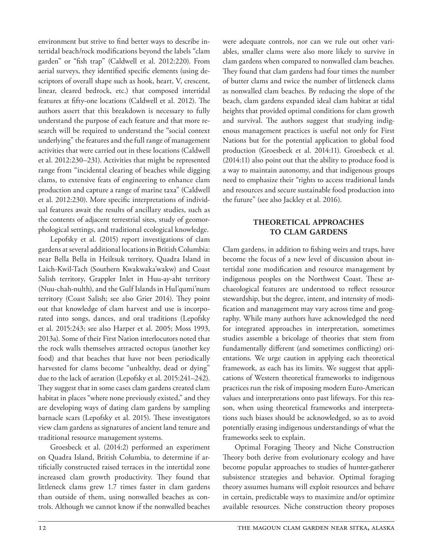environment but strive to find better ways to describe intertidal beach/rock modifications beyond the labels "clam garden" or "fish trap" (Caldwell et al. 2012:220). From aerial surveys, they identified specific elements (using descriptors of overall shape such as hook, heart, V, crescent, linear, cleared bedrock, etc.) that composed intertidal features at fifty-one locations (Caldwell et al. 2012). The authors assert that this breakdown is necessary to fully understand the purpose of each feature and that more research will be required to understand the "social context underlying" the features and the full range of management activities that were carried out in these locations (Caldwell et al. 2012:230–231). Activities that might be represented range from "incidental clearing of beaches while digging clams, to extensive feats of engineering to enhance clam production and capture a range of marine taxa" (Caldwell et al. 2012:230). More specific interpretations of individual features await the results of ancillary studies, such as the contents of adjacent terrestrial sites, study of geomorphological settings, and traditional ecological knowledge.

Lepofsky et al. (2015) report investigations of clam gardens at several additional locations in British Columbia: near Bella Bella in Heiltsuk territory, Quadra Island in Laich-Kwil-Tach (Southern Kwakwaka'wakw) and Coast Salish territory, Grappler Inlet in Huu-ay-aht territory (Nuu-chah-nulth), and the Gulf Islands in Hul'qumi'num territory (Coast Salish; see also Grier 2014). They point out that knowledge of clam harvest and use is incorporated into songs, dances, and oral traditions (Lepofsky et al. 2015:243; see also Harper et al. 2005; Moss 1993, 2013a). Some of their First Nation interlocutors noted that the rock walls themselves attracted octopus (another key food) and that beaches that have not been periodically harvested for clams become "unhealthy, dead or dying" due to the lack of aeration (Lepofsky et al. 2015:241–242). They suggest that in some cases clam gardens created clam habitat in places "where none previously existed," and they are developing ways of dating clam gardens by sampling barnacle scars (Lepofsky et al. 2015). These investigators view clam gardens as signatures of ancient land tenure and traditional resource management systems.

Groesbeck et al. (2014:2) performed an experiment on Quadra Island, British Columbia, to determine if artificially constructed raised terraces in the intertidal zone increased clam growth productivity. They found that littleneck clams grew 1.7 times faster in clam gardens than outside of them, using nonwalled beaches as controls. Although we cannot know if the nonwalled beaches were adequate controls, nor can we rule out other variables, smaller clams were also more likely to survive in clam gardens when compared to nonwalled clam beaches. They found that clam gardens had four times the number of butter clams and twice the number of littleneck clams as nonwalled clam beaches. By reducing the slope of the beach, clam gardens expanded ideal clam habitat at tidal heights that provided optimal conditions for clam growth and survival. The authors suggest that studying indigenous management practices is useful not only for First Nations but for the potential application to global food production (Groesbeck et al. 2014:11). Groesbeck et al. (2014:11) also point out that the ability to produce food is a way to maintain autonomy, and that indigenous groups need to emphasize their "rights to access traditional lands and resources and secure sustainable food production into the future" (see also Jackley et al. 2016).

## **theoretical approaches to clam gardens**

Clam gardens, in addition to fishing weirs and traps, have become the focus of a new level of discussion about intertidal zone modification and resource management by indigenous peoples on the Northwest Coast. These archaeological features are understood to reflect resource stewardship, but the degree, intent, and intensity of modification and management may vary across time and geography. While many authors have acknowledged the need for integrated approaches in interpretation, sometimes studies assemble a bricolage of theories that stem from fundamentally different (and sometimes conflicting) orientations. We urge caution in applying each theoretical framework, as each has its limits. We suggest that applications of Western theoretical frameworks to indigenous practices run the risk of imposing modern Euro-American values and interpretations onto past lifeways. For this reason, when using theoretical frameworks and interpretations such biases should be acknowledged, so as to avoid potentially erasing indigenous understandings of what the frameworks seek to explain.

Optimal Foraging Theory and Niche Construction Theory both derive from evolutionary ecology and have become popular approaches to studies of hunter-gatherer subsistence strategies and behavior. Optimal foraging theory assumes humans will exploit resources and behave in certain, predictable ways to maximize and/or optimize available resources. Niche construction theory proposes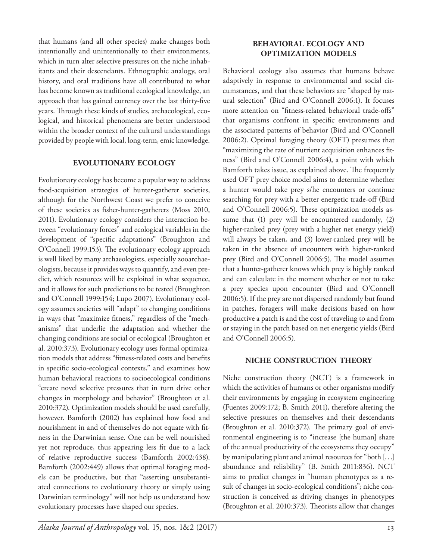that humans (and all other species) make changes both intentionally and unintentionally to their environments, which in turn alter selective pressures on the niche inhabitants and their descendants. Ethnographic analogy, oral history, and oral traditions have all contributed to what has become known as traditional ecological knowledge, an approach that has gained currency over the last thirty-five years. Through these kinds of studies, archaeological, ecological, and historical phenomena are better understood within the broader context of the cultural understandings provided by people with local, long-term, emic knowledge.

## **evolutionary ecology**

Evolutionary ecology has become a popular way to address food-acquisition strategies of hunter-gatherer societies, although for the Northwest Coast we prefer to conceive of these societies as fisher-hunter-gatherers (Moss 2010, 2011). Evolutionary ecology considers the interaction between "evolutionary forces" and ecological variables in the development of "specific adaptations" (Broughton and O'Connell 1999:153). The evolutionary ecology approach is well liked by many archaeologists, especially zooarchaeologists, because it provides ways to quantify, and even predict, which resources will be exploited in what sequence, and it allows for such predictions to be tested (Broughton and O'Connell 1999:154; Lupo 2007). Evolutionary ecology assumes societies will "adapt" to changing conditions in ways that "maximize fitness," regardless of the "mechanisms" that underlie the adaptation and whether the changing conditions are social or ecological (Broughton et al. 2010:373). Evolutionary ecology uses formal optimization models that address "fitness-related costs and benefits in specific socio-ecological contexts," and examines how human behavioral reactions to socioecological conditions "create novel selective pressures that in turn drive other changes in morphology and behavior" (Broughton et al. 2010:372). Optimization models should be used carefully, however. Bamforth (2002) has explained how food and nourishment in and of themselves do not equate with fitness in the Darwinian sense. One can be well nourished yet not reproduce, thus appearing less fit due to a lack of relative reproductive success (Bamforth 2002:438). Bamforth (2002:449) allows that optimal foraging models can be productive, but that "asserting unsubstantiated connections to evolutionary theory or simply using Darwinian terminology" will not help us understand how evolutionary processes have shaped our species.

# **behavioral ecology and optimization models**

Behavioral ecology also assumes that humans behave adaptively in response to environmental and social circumstances, and that these behaviors are "shaped by natural selection" (Bird and O'Connell 2006:1). It focuses more attention on "fitness-related behavioral trade-offs" that organisms confront in specific environments and the associated patterns of behavior (Bird and O'Connell 2006:2). Optimal foraging theory (OFT) presumes that "maximizing the rate of nutrient acquisition enhances fitness" (Bird and O'Connell 2006:4), a point with which Bamforth takes issue, as explained above. The frequently used OFT prey choice model aims to determine whether a hunter would take prey s/he encounters or continue searching for prey with a better energetic trade-off (Bird and O'Connell 2006:5). These optimization models assume that (1) prey will be encountered randomly, (2) higher-ranked prey (prey with a higher net energy yield) will always be taken, and (3) lower-ranked prey will be taken in the absence of encounters with higher-ranked prey (Bird and O'Connell 2006:5). The model assumes that a hunter-gatherer knows which prey is highly ranked and can calculate in the moment whether or not to take a prey species upon encounter (Bird and O'Connell 2006:5). If the prey are not dispersed randomly but found in patches, foragers will make decisions based on how productive a patch is and the cost of traveling to and from or staying in the patch based on net energetic yields (Bird and O'Connell 2006:5).

#### **niche construction theory**

Niche construction theory (NCT) is a framework in which the activities of humans or other organisms modify their environments by engaging in ecosystem engineering (Fuentes 2009:172; B. Smith 2011), therefore altering the selective pressures on themselves and their descendants (Broughton et al. 2010:372). The primary goal of environmental engineering is to "increase [the human] share of the annual productivity of the ecosystems they occupy" by manipulating plant and animal resources for "both [...] abundance and reliability" (B. Smith 2011:836). NCT aims to predict changes in "human phenotypes as a result of changes in socio-ecological conditions"; niche construction is conceived as driving changes in phenotypes (Broughton et al. 2010:373). Theorists allow that changes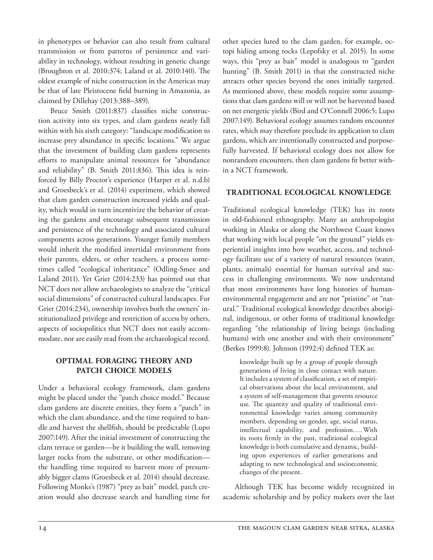in phenotypes or behavior can also result from cultural transmission or from patterns of persistence and variability in technology, without resulting in genetic change (Broughton et al. 2010:374; Laland et al. 2010:140). The oldest example of niche construction in the Americas may be that of late Pleistocene field burning in Amazonia, as claimed by Dillehay (2013:388–389).

Bruce Smith (2011:837) classifies niche construction activity into six types, and clam gardens neatly fall within with his sixth category: "landscape modification to increase prey abundance in specific locations." We argue that the investment of building clam gardens represents efforts to manipulate animal resources for "abundance and reliability" (B. Smith 2011:836). This idea is reinforced by Billy Proctor's experience (Harper et al. n.d.b) and Groesbeck's et al. (2014) experiment, which showed that clam garden construction increased yields and quality, which would in turn incentivize the behavior of creating the gardens and encourage subsequent transmission and persistence of the technology and associated cultural components across generations. Younger family members would inherit the modified intertidal environment from their parents, elders, or other teachers, a process sometimes called "ecological inheritance" (Odling-Smee and Laland 2011). Yet Grier (2014:233) has pointed out that NCT does not allow archaeologists to analyze the "critical social dimensions" of constructed cultural landscapes. For Grier (2014:234), ownership involves both the owners' institutionalized privilege and restriction of access by others, aspects of sociopolitics that NCT does not easily accommodate, nor are easily read from the archaeological record.

# **optimal foraging theory and patch choice models**

Under a behavioral ecology framework, clam gardens might be placed under the "patch choice model." Because clam gardens are discrete entities, they form a "patch" in which the clam abundance, and the time required to handle and harvest the shellfish, should be predictable (Lupo 2007:149). After the initial investment of constructing the clam terrace or garden—be it building the wall, removing larger rocks from the substrate, or other modification the handling time required to harvest more of presumably bigger clams (Groesbeck et al. 2014) should decrease. Following Monks's (1987) "prey as bait" model, patch creation would also decrease search and handling time for

other species lured to the clam garden, for example, octopi hiding among rocks (Lepofsky et al. 2015). In some ways, this "prey as bait" model is analogous to "garden hunting" (B. Smith 2011) in that the constructed niche attracts other species beyond the ones initially targeted. As mentioned above, these models require some assumptions that clam gardens will or will not be harvested based on net energetic yields (Bird and O'Connell 2006:5; Lupo 2007:149). Behavioral ecology assumes random encounter rates, which may therefore preclude its application to clam gardens, which are intentionally constructed and purposefully harvested. If behavioral ecology does not allow for nonrandom encounters, then clam gardens fit better within a NCT framework.

# **traditional ecological knowledge**

Traditional ecological knowledge (TEK) has its roots in old-fashioned ethnography. Many an anthropologist working in Alaska or along the Northwest Coast knows that working with local people "on the ground" yields experiential insights into how weather, access, and technology facilitate use of a variety of natural resources (water, plants, animals) essential for human survival and success in challenging environments. We now understand that most environments have long histories of humanenvironmental engagement and are not "pristine" or "natural." Traditional ecological knowledge describes aboriginal, indigenous, or other forms of traditional knowledge regarding "the relationship of living beings (including humans) with one another and with their environment" (Berkes 1999:8). Johnson (1992:4) defined TEK as:

knowledge built up by a group of people through generations of living in close contact with nature. It includes a system of classification, a set of empirical observations about the local environment, and a system of self-management that governs resource use. The quantity and quality of traditional environmental knowledge varies among community members, depending on gender, age, social status, intellectual capability, and profession....With its roots firmly in the past, traditional ecological knowledge is both cumulative and dynamic, building upon experiences of earlier generations and adapting to new technological and socioeconomic changes of the present.

Although TEK has become widely recognized in academic scholarship and by policy makers over the last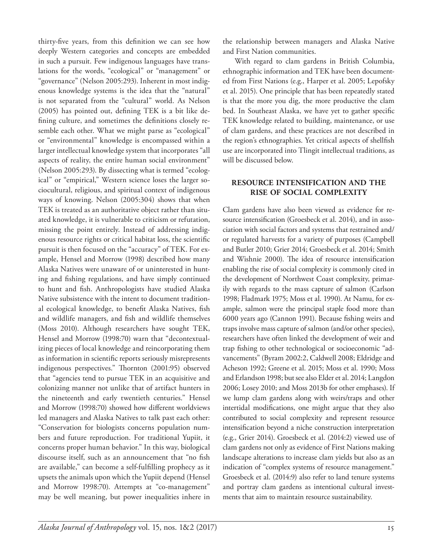thirty-five years, from this definition we can see how deeply Western categories and concepts are embedded in such a pursuit. Few indigenous languages have translations for the words, "ecological" or "management" or "governance" (Nelson 2005:293). Inherent in most indigenous knowledge systems is the idea that the "natural" is not separated from the "cultural" world. As Nelson (2005) has pointed out, defining TEK is a bit like defining culture, and sometimes the definitions closely resemble each other. What we might parse as "ecological" or "environmental" knowledge is encompassed within a larger intellectual knowledge system that incorporates "all aspects of reality, the entire human social environment" (Nelson 2005:293). By dissecting what is termed "ecological" or "empirical," Western science loses the larger sociocultural, religious, and spiritual context of indigenous ways of knowing. Nelson (2005:304) shows that when TEK is treated as an authoritative object rather than situated knowledge, it is vulnerable to criticism or refutation, missing the point entirely. Instead of addressing indigenous resource rights or critical habitat loss, the scientific pursuit is then focused on the "accuracy" of TEK. For example, Hensel and Morrow (1998) described how many Alaska Natives were unaware of or uninterested in hunting and fishing regulations, and have simply continued to hunt and fish. Anthropologists have studied Alaska Native subsistence with the intent to document traditional ecological knowledge, to benefit Alaska Natives, fish and wildlife managers, and fish and wildlife themselves (Moss 2010). Although researchers have sought TEK, Hensel and Morrow (1998:70) warn that "decontextualizing pieces of local knowledge and reincorporating them as information in scientific reports seriously misrepresents indigenous perspectives." Thornton (2001:95) observed that "agencies tend to pursue TEK in an acquisitive and colonizing manner not unlike that of artifact hunters in the nineteenth and early twentieth centuries." Hensel and Morrow (1998:70) showed how different worldviews led managers and Alaska Natives to talk past each other: "Conservation for biologists concerns population numbers and future reproduction. For traditional Yupiit, it concerns proper human behavior." In this way, biological discourse itself, such as an announcement that "no fish are available," can become a self-fulfilling prophecy as it upsets the animals upon which the Yupiit depend (Hensel and Morrow 1998:70). Attempts at "co-management" may be well meaning, but power inequalities inhere in

the relationship between managers and Alaska Native and First Nation communities.

With regard to clam gardens in British Columbia, ethnographic information and TEK have been documented from First Nations (e.g., Harper et al. 2005; Lepofsky et al. 2015). One principle that has been repeatedly stated is that the more you dig, the more productive the clam bed. In Southeast Alaska, we have yet to gather specific TEK knowledge related to building, maintenance, or use of clam gardens, and these practices are not described in the region's ethnographies. Yet critical aspects of shellfish use are incorporated into Tlingit intellectual traditions, as will be discussed below.

# **resource intensification and the rise of social complexity**

Clam gardens have also been viewed as evidence for resource intensification (Groesbeck et al. 2014), and in association with social factors and systems that restrained and/ or regulated harvests for a variety of purposes (Campbell and Butler 2010; Grier 2014; Groesbeck et al. 2014; Smith and Wishnie 2000). The idea of resource intensification enabling the rise of social complexity is commonly cited in the development of Northwest Coast complexity, primarily with regards to the mass capture of salmon (Carlson 1998; Fladmark 1975; Moss et al. 1990). At Namu, for example, salmon were the principal staple food more than 6000 years ago (Cannon 1991). Because fishing weirs and traps involve mass capture of salmon (and/or other species), researchers have often linked the development of weir and trap fishing to other technological or socioeconomic "advancements" (Byram 2002:2, Caldwell 2008; Eldridge and Acheson 1992; Greene et al. 2015; Moss et al. 1990; Moss and Erlandson 1998; but see also Elder et al. 2014; Langdon 2006; Losey 2010; and Moss 2013b for other emphases). If we lump clam gardens along with weirs/traps and other intertidal modifications, one might argue that they also contributed to social complexity and represent resource intensification beyond a niche construction interpretation (e.g., Grier 2014). Groesbeck et al. (2014:2) viewed use of clam gardens not only as evidence of First Nations making landscape alterations to increase clam yields but also as an indication of "complex systems of resource management." Groesbeck et al. (2014:9) also refer to land tenure systems and portray clam gardens as intentional cultural investments that aim to maintain resource sustainability.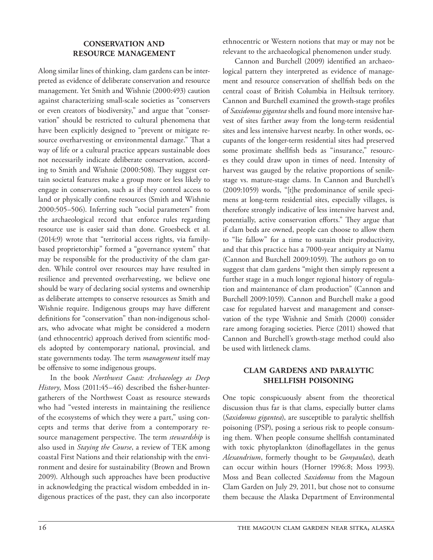## **conservation and resource management**

Along similar lines of thinking, clam gardens can be interpreted as evidence of deliberate conservation and resource management. Yet Smith and Wishnie (2000:493) caution against characterizing small-scale societies as "conservers or even creators of biodiversity," and argue that "conservation" should be restricted to cultural phenomena that have been explicitly designed to "prevent or mitigate resource overharvesting or environmental damage." That a way of life or a cultural practice appears sustainable does not necessarily indicate deliberate conservation, according to Smith and Wishnie (2000:508). They suggest certain societal features make a group more or less likely to engage in conservation, such as if they control access to land or physically confine resources (Smith and Wishnie 2000:505–506). Inferring such "social parameters" from the archaeological record that enforce rules regarding resource use is easier said than done. Groesbeck et al. (2014:9) wrote that "territorial access rights, via familybased proprietorship" formed a "governance system" that may be responsible for the productivity of the clam garden. While control over resources may have resulted in resilience and prevented overharvesting, we believe one should be wary of declaring social systems and ownership as deliberate attempts to conserve resources as Smith and Wishnie require. Indigenous groups may have different definitions for "conservation" than non-indigenous scholars, who advocate what might be considered a modern (and ethnocentric) approach derived from scientific models adopted by contemporary national, provincial, and state governments today. The term *management* itself may be offensive to some indigenous groups.

In the book *Northwest Coast: Archaeology as Deep History*, Moss (2011:45–46) described the fisher-huntergatherers of the Northwest Coast as resource stewards who had "vested interests in maintaining the resilience of the ecosystems of which they were a part," using concepts and terms that derive from a contemporary resource management perspective. The term *stewardship* is also used in *Staying the Course*, a review of TEK among coastal First Nations and their relationship with the environment and desire for sustainability (Brown and Brown 2009). Although such approaches have been productive in acknowledging the practical wisdom embedded in indigenous practices of the past, they can also incorporate

ethnocentric or Western notions that may or may not be relevant to the archaeological phenomenon under study.

Cannon and Burchell (2009) identified an archaeological pattern they interpreted as evidence of management and resource conservation of shellfish beds on the central coast of British Columbia in Heiltsuk territory. Cannon and Burchell examined the growth-stage profiles of *Saxidomus gigantea* shells and found more intensive harvest of sites farther away from the long-term residential sites and less intensive harvest nearby. In other words, occupants of the longer-term residential sites had preserved some proximate shellfish beds as "insurance," resources they could draw upon in times of need. Intensity of harvest was gauged by the relative proportions of senilestage vs. mature-stage clams. In Cannon and Burchell's (2009:1059) words, "[t]he predominance of senile specimens at long-term residential sites, especially villages, is therefore strongly indicative of less intensive harvest and, potentially, active conservation efforts." They argue that if clam beds are owned, people can choose to allow them to "lie fallow" for a time to sustain their productivity, and that this practice has a 7000-year antiquity at Namu (Cannon and Burchell 2009:1059). The authors go on to suggest that clam gardens "might then simply represent a further stage in a much longer regional history of regulation and maintenance of clam production" (Cannon and Burchell 2009:1059). Cannon and Burchell make a good case for regulated harvest and management and conservation of the type Wishnie and Smith (2000) consider rare among foraging societies. Pierce (2011) showed that Cannon and Burchell's growth-stage method could also be used with littleneck clams.

# **clam gardens and paralytic shellfish poisoning**

One topic conspicuously absent from the theoretical discussion thus far is that clams, especially butter clams (*Saxidomus gigantea*), are susceptible to paralytic shellfish poisoning (PSP), posing a serious risk to people consuming them. When people consume shellfish contaminated with toxic phytoplankton (dinoflagellates in the genus *Alexandrium*, formerly thought to be *Gonyaulax*), death can occur within hours (Horner 1996:8; Moss 1993). Moss and Bean collected *Saxidomus* from the Magoun Clam Garden on July 29, 2011, but chose not to consume them because the Alaska Department of Environmental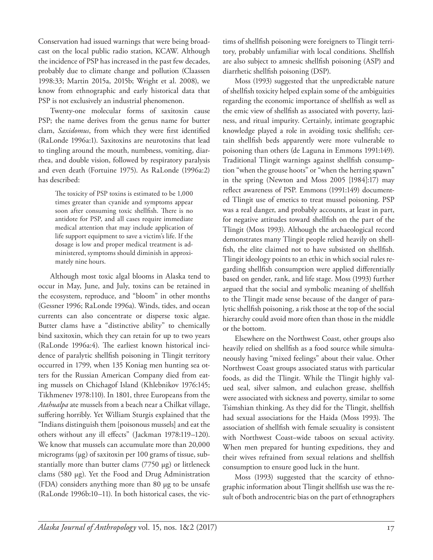Conservation had issued warnings that were being broadcast on the local public radio station, KCAW. Although the incidence of PSP has increased in the past few decades, probably due to climate change and pollution (Claassen 1998:33; Martin 2015a, 2015b; Wright et al. 2008), we know from ethnographic and early historical data that PSP is not exclusively an industrial phenomenon.

Twenty-one molecular forms of saxitoxin cause PSP; the name derives from the genus name for butter clam, *Saxidomus*, from which they were first identified (RaLonde 1996a:1). Saxitoxins are neurotoxins that lead to tingling around the mouth, numbness, vomiting, diarrhea, and double vision, followed by respiratory paralysis and even death (Fortuine 1975). As RaLonde (1996a:2) has described:

The toxicity of PSP toxins is estimated to be 1,000 times greater than cyanide and symptoms appear soon after consuming toxic shellfish. There is no antidote for PSP, and all cases require immediate medical attention that may include application of life support equipment to save a victim's life. If the dosage is low and proper medical treatment is administered, symptoms should diminish in approximately nine hours.

Although most toxic algal blooms in Alaska tend to occur in May, June, and July, toxins can be retained in the ecosystem, reproduce, and "bloom" in other months (Gessner 1996; RaLonde 1996a). Winds, tides, and ocean currents can also concentrate or disperse toxic algae. Butter clams have a "distinctive ability" to chemically bind saxitoxin, which they can retain for up to two years (RaLonde 1996a:4). The earliest known historical incidence of paralytic shellfish poisoning in Tlingit territory occurred in 1799, when 135 Koniag men hunting sea otters for the Russian American Company died from eating mussels on Chichagof Island (Khlebnikov 1976:145; Tikhmenev 1978:110). In 1801, three Europeans from the *Atahualpa* ate mussels from a beach near a Chilkat village, suffering horribly. Yet William Sturgis explained that the "Indians distinguish them [poisonous mussels] and eat the others without any ill effects" (Jackman 1978:119–120). We know that mussels can accumulate more than 20,000 micrograms (µg) of saxitoxin per 100 grams of tissue, substantially more than butter clams (7750 µg) or littleneck clams (580 µg). Yet the Food and Drug Administration (FDA) considers anything more than 80 µg to be unsafe (RaLonde 1996b:10–11). In both historical cases, the vic-

tims of shellfish poisoning were foreigners to Tlingit territory, probably unfamiliar with local conditions. Shellfish are also subject to amnesic shellfish poisoning (ASP) and diarrhetic shellfish poisoning (DSP).

Moss (1993) suggested that the unpredictable nature of shellfish toxicity helped explain some of the ambiguities regarding the economic importance of shellfish as well as the emic view of shellfish as associated with poverty, laziness, and ritual impurity. Certainly, intimate geographic knowledge played a role in avoiding toxic shellfish; certain shellfish beds apparently were more vulnerable to poisoning than others (de Laguna in Emmons 1991:149). Traditional Tlingit warnings against shellfish consumption "when the grouse hoots" or "when the herring spawn" in the spring (Newton and Moss 2005 [1984]:17) may reflect awareness of PSP. Emmons (1991:149) documented Tlingit use of emetics to treat mussel poisoning. PSP was a real danger, and probably accounts, at least in part, for negative attitudes toward shellfish on the part of the Tlingit (Moss 1993). Although the archaeological record demonstrates many Tlingit people relied heavily on shellfish, the elite claimed not to have subsisted on shellfish. Tlingit ideology points to an ethic in which social rules regarding shellfish consumption were applied differentially based on gender, rank, and life stage. Moss (1993) further argued that the social and symbolic meaning of shellfish to the Tlingit made sense because of the danger of paralytic shellfish poisoning, a risk those at the top of the social hierarchy could avoid more often than those in the middle or the bottom.

Elsewhere on the Northwest Coast, other groups also heavily relied on shellfish as a food source while simultaneously having "mixed feelings" about their value. Other Northwest Coast groups associated status with particular foods, as did the Tlingit. While the Tlingit highly valued seal, silver salmon, and eulachon grease, shellfish were associated with sickness and poverty, similar to some Tsimshian thinking. As they did for the Tlingit, shellfish had sexual associations for the Haida (Moss 1993). The association of shellfish with female sexuality is consistent with Northwest Coast–wide taboos on sexual activity. When men prepared for hunting expeditions, they and their wives refrained from sexual relations and shellfish consumption to ensure good luck in the hunt.

Moss (1993) suggested that the scarcity of ethnographic information about Tlingit shellfish use was the result of both androcentric bias on the part of ethnographers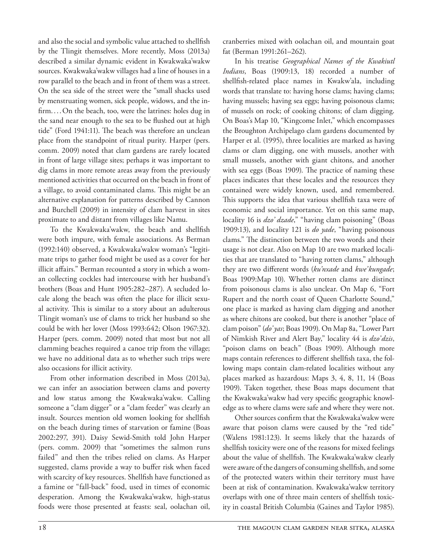and also the social and symbolic value attached to shellfish by the Tlingit themselves. More recently, Moss (2013a) described a similar dynamic evident in Kwakwaka'wakw sources. Kwakwaka'wakw villages had a line of houses in a row parallel to the beach and in front of them was a street. On the sea side of the street were the "small shacks used by menstruating women, sick people, widows, and the infirm....On the beach, too, were the latrines: holes dug in the sand near enough to the sea to be flushed out at high tide" (Ford 1941:11). The beach was therefore an unclean place from the standpoint of ritual purity. Harper (pers. comm. 2009) noted that clam gardens are rarely located in front of large village sites; perhaps it was important to dig clams in more remote areas away from the previously mentioned activities that occurred on the beach in front of a village, to avoid contaminated clams. This might be an alternative explanation for patterns described by Cannon and Burchell (2009) in intensity of clam harvest in sites proximate to and distant from villages like Namu.

To the Kwakwaka'wakw, the beach and shellfish were both impure, with female associations. As Berman (1992:140) observed, a Kwakwaka'wakw woman's "legitimate trips to gather food might be used as a cover for her illicit affairs." Berman recounted a story in which a woman collecting cockles had intercourse with her husband's brothers (Boas and Hunt 1905:282–287). A secluded locale along the beach was often the place for illicit sexual activity. This is similar to a story about an adulterous Tlingit woman's use of clams to trick her husband so she could be with her lover (Moss 1993:642; Olson 1967:32). Harper (pers. comm. 2009) noted that most but not all clamming beaches required a canoe trip from the village; we have no additional data as to whether such trips were also occasions for illicit activity.

From other information described in Moss (2013a), we can infer an association between clams and poverty and low status among the Kwakwaka'wakw. Calling someone a "clam digger" or a "clam feeder" was clearly an insult. Sources mention old women looking for shellfish on the beach during times of starvation or famine (Boas 2002:297, 391). Daisy Sewid-Smith told John Harper (pers. comm. 2009) that "sometimes the salmon runs failed" and then the tribes relied on clams. As Harper suggested, clams provide a way to buffer risk when faced with scarcity of key resources. Shellfish have functioned as a famine or "fall-back" food, used in times of economic desperation. Among the Kwakwaka'wakw, high-status foods were those presented at feasts: seal, oolachan oil, cranberries mixed with oolachan oil, and mountain goat fat (Berman 1991:261–262).

In his treatise *Geographical Names of the Kwakiutl Indians*, Boas (1909:13, 18) recorded a number of shellfish-related place names in Kwakw'ala, including words that translate to: having horse clams; having clams; having mussels; having sea eggs; having poisonous clams; of mussels on rock; of cooking chitons; of clam digging. On Boas's Map 10, "Kingcome Inlet," which encompasses the Broughton Archipelago clam gardens documented by Harper et al. (1995), three localities are marked as having clams or clam digging, one with mussels, another with small mussels, another with giant chitons, and another with sea eggs (Boas 1909). The practice of naming these places indicates that these locales and the resources they contained were widely known, used, and remembered. This supports the idea that various shellfish taxa were of economic and social importance. Yet on this same map, locality 16 is *dzo' dzade*," "having clam poisoning" (Boas 1909:13), and locality 121 is *do yade*, "having poisonous clams." The distinction between the two words and their usage is not clear. Also on Map 10 are two marked localities that are translated to "having rotten clams," although they are two different words (*ku'nxade* and *kwe'kungade*; Boas 1909:Map 10). Whether rotten clams are distinct from poisonous clams is also unclear. On Map 6, "Fort Rupert and the north coast of Queen Charlotte Sound," one place is marked as having clam digging and another as where chitons are cooked, but there is another "place of clam poison" (*do' yas*; Boas 1909). On Map 8a, "Lower Part of Nimkish River and Alert Bay," locality 44 is *dzo'dzis*, "poison clams on beach" (Boas 1909). Although more maps contain references to different shellfish taxa, the following maps contain clam-related localities without any places marked as hazardous: Maps 3, 4, 8, 11, 14 (Boas 1909). Taken together, these Boas maps document that the Kwakwaka'wakw had very specific geographic knowledge as to where clams were safe and where they were not.

Other sources confirm that the Kwakwaka'wakw were aware that poison clams were caused by the "red tide" (Walens 1981:123). It seems likely that the hazards of shellfish toxicity were one of the reasons for mixed feelings about the value of shellfish. The Kwakwaka'wakw clearly were aware of the dangers of consuming shellfish, and some of the protected waters within their territory must have been at risk of contamination. Kwakwaka'wakw territory overlaps with one of three main centers of shellfish toxicity in coastal British Columbia (Gaines and Taylor 1985).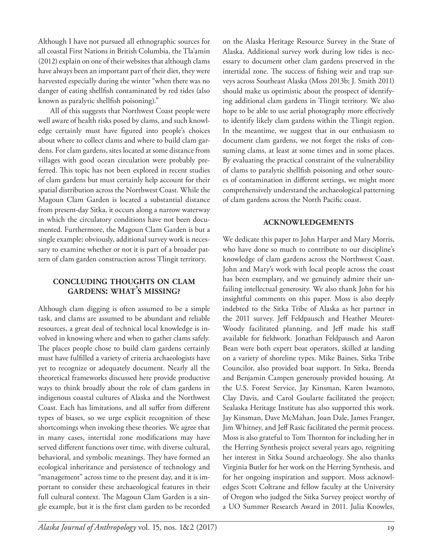Although I have not pursued all ethnographic sources for all coastal First Nations in British Columbia, the Tla'amin (2012) explain on one of their websites that although clams have always been an important part of their diet, they were harvested especially during the winter "when there was no danger of eating shellfish contaminated by red tides (also known as paralytic shellfish poisoning)."

All of this suggests that Northwest Coast people were well aware of health risks posed by clams, and such knowledge certainly must have figured into people's choices about where to collect clams and where to build clam gardens. For clam gardens, sites located at some distance from villages with good ocean circulation were probably preferred. This topic has not been explored in recent studies of clam gardens but must certainly help account for their spatial distribution across the Northwest Coast. While the Magoun Clam Garden is located a substantial distance from present-day Sitka, it occurs along a narrow waterway in which the circulatory conditions have not been documented. Furthermore, the Magoun Clam Garden is but a single example; obviously, additional survey work is necessary to examine whether or not it is part of a broader pattern of clam garden construction across Tlingit territory.

# **concluding thoughts on clam gardens: what'<sup>s</sup> missing?**

Although clam digging is often assumed to be a simple task, and clams are assumed to be abundant and reliable resources, a great deal of technical local knowledge is involved in knowing where and when to gather clams safely. The places people chose to build clam gardens certainly must have fulfilled a variety of criteria archaeologists have yet to recognize or adequately document. Nearly all the theoretical frameworks discussed here provide productive ways to think broadly about the role of clam gardens in indigenous coastal cultures of Alaska and the Northwest Coast. Each has limitations, and all suffer from different types of biases, so we urge explicit recognition of these shortcomings when invoking these theories. We agree that in many cases, intertidal zone modifications may have served different functions over time, with diverse cultural, behavioral, and symbolic meanings. They have formed an ecological inheritance and persistence of technology and "management" across time to the present day, and it is important to consider these archaeological features in their full cultural context. The Magoun Clam Garden is a single example, but it is the first clam garden to be recorded on the Alaska Heritage Resource Survey in the State of Alaska. Additional survey work during low tides is necessary to document other clam gardens preserved in the intertidal zone. The success of fishing weir and trap surveys across Southeast Alaska (Moss 2013b; J. Smith 2011) should make us optimistic about the prospect of identifying additional clam gardens in Tlingit territory. We also hope to be able to use aerial photography more effectively to identify likely clam gardens within the Tlingit region. In the meantime, we suggest that in our enthusiasm to document clam gardens, we not forget the risks of consuming clams, at least at some times and in some places. By evaluating the practical constraint of the vulnerability of clams to paralytic shellfish poisoning and other sources of contamination in different settings, we might more comprehensively understand the archaeological patterning of clam gardens across the North Pacific coast.

## **acknowledgements**

We dedicate this paper to John Harper and Mary Morris, who have done so much to contribute to our discipline's knowledge of clam gardens across the Northwest Coast. John and Mary's work with local people across the coast has been exemplary, and we genuinely admire their unfailing intellectual generosity. We also thank John for his insightful comments on this paper. Moss is also deeply indebted to the Sitka Tribe of Alaska as her partner in the 2011 survey. Jeff Feldpausch and Heather Meuret-Woody facilitated planning, and Jeff made his staff available for fieldwork. Jonathan Feldpausch and Aaron Bean were both expert boat operators, skilled at landing on a variety of shoreline types. Mike Baines, Sitka Tribe Councilor, also provided boat support. In Sitka, Brenda and Benjamin Campen generously provided housing. At the U.S. Forest Service, Jay Kinsman, Karen Iwamoto, Clay Davis, and Carol Goularte facilitated the project; Sealaska Heritage Institute has also supported this work. Jay Kinsman, Dave McMahan, Joan Dale, James Franger, Jim Whitney, and Jeff Rasic facilitated the permit process. Moss is also grateful to Tom Thornton for including her in the Herring Synthesis project several years ago, reigniting her interest in Sitka Sound archaeology. She also thanks Virginia Butler for her work on the Herring Synthesis, and for her ongoing inspiration and support. Moss acknowledges Scott Coltrane and fellow faculty at the University of Oregon who judged the Sitka Survey project worthy of a UO Summer Research Award in 2011. Julia Knowles,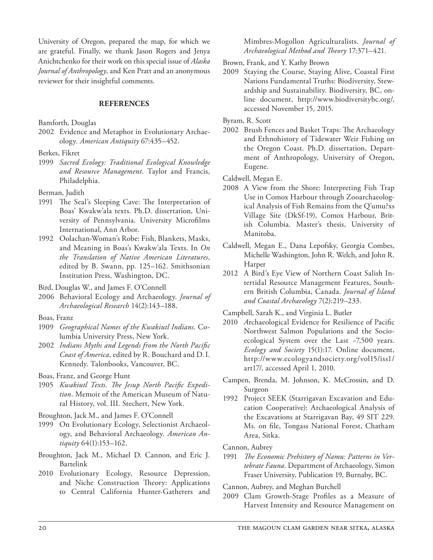University of Oregon, prepared the map, for which we are grateful. Finally, we thank Jason Rogers and Jenya Anichtchenko for their work on this special issue of *Alaska Journal of Anthropology*, and Ken Pratt and an anonymous reviewer for their insightful comments.

#### **references**

Bamforth, Douglas

2002 Evidence and Metaphor in Evolutionary Archaeology. *American Antiquity* 67:435–452.

Berkes, Fikret

1999 *Sacred Ecology: Traditional Ecological Knowledge and Resource Management*. Taylor and Francis, Philadelphia.

Berman, Judith

- 1991 The Seal's Sleeping Cave: The Interpretation of Boas' Kwakw'ala texts. Ph.D. dissertation, University of Pennsylvania. University Microfilms International, Ann Arbor.
- 1992 Oolachan-Woman's Robe: Fish, Blankets, Masks, and Meaning in Boas's Kwakw'ala Texts. In *On the Translation of Native American Literatures*, edited by B. Swann, pp. 125–162. Smithsonian Institution Press, Washington, DC.

Bird, Douglas W., and James F. O'Connell

2006 Behavioral Ecology and Archaeology. *Journal of Archaeological Research* 14(2):143–188.

Boas, Franz

- 1909 *Geographical Names of the Kwakiutl Indians*. Columbia University Press, New York.
- 2002 *Indians Myths and Legends from the North Pacific Coast of America*, edited by R. Bouchard and D.I. Kennedy. Talonbooks, Vancouver, BC.

Boas, Franz, and George Hunt

1905 *Kwakiutl Texts. The Jesup North Pacific Expedition*. Memoir of the American Museum of Natural History, vol. III. Stechert, New York.

Broughton, Jack M., and James F. O'Connell

- 1999 On Evolutionary Ecology, Selectionist Archaeology, and Behavioral Archaeology. *American Antiquity* 64(1):153–162.
- Broughton, Jack M., Michael D. Cannon, and Eric J. Bartelink
- 2010 Evolutionary Ecology, Resource Depression, and Niche Construction Theory: Applications to Central California Hunter-Gatherers and

Mimbres-Mogollon Agriculturalists. *Journal of Archaeological Method and Theory* 17:371–421.

Brown, Frank, and Y. Kathy Brown

2009 Staying the Course, Staying Alive, Coastal First Nations Fundamental Truths: Biodiversity, Stewardship and Sustainability. Biodiversity, BC, online document, http://www.biodiversitybc.org/, accessed November 15, 2015.

Byram, R. Scott

2002 Brush Fences and Basket Traps: The Archaeology and Ethnohistory of Tidewater Weir Fishing on the Oregon Coast. Ph.D. dissertation, Department of Anthropology, University of Oregon, Eugene.

Caldwell, Megan E.

- 2008 A View from the Shore: Interpreting Fish Trap Use in Comox Harbour through Zooarchaeological Analysis of Fish Remains from the Q'umu?xs Village Site (DkSf-19), Comox Harbour, British Columbia. Master's thesis, University of Manitoba.
- Caldwell, Megan E., Dana Lepofsky, Georgia Combes, Michelle Washington, John R. Welch, and John R. Harper
- 2012 A Bird's Eye View of Northern Coast Salish Intertidal Resource Management Features, Southern British Columbia, Canada. *Journal of Island and Coastal Archaeology* 7(2):219–233.

Campbell, Sarah K., and Virginia L. Butler

- 2010 *A*rchaeological Evidence for Resilience of Pacific Northwest Salmon Populations and the Socioecological System over the Last ~7,500 years. *Ecology and Society* 15(1):17. Online document, http://www.ecologyandsociety.org/vol15/iss1/ art17/, accessed April 1, 2010.
- Campen, Brenda, M. Johnson, K. McCrossin, and D. Surgeon
- 1992 Project SEEK (Starrigavan Excavation and Education Cooperative): Archaeological Analysis of the Excavations at Starrigavan Bay, 49 SIT 229. Ms. on file, Tongass National Forest, Chatham Area, Sitka.

Cannon, Aubrey

1991 *The Economic Prehistory of Namu: Patterns in Vertebrate Fauna*. Department of Archaeology, Simon Fraser University, Publication 19, Burnaby, BC.

Cannon, Aubrey, and Meghan Burchell

2009 Clam Growth-Stage Profiles as a Measure of Harvest Intensity and Resource Management on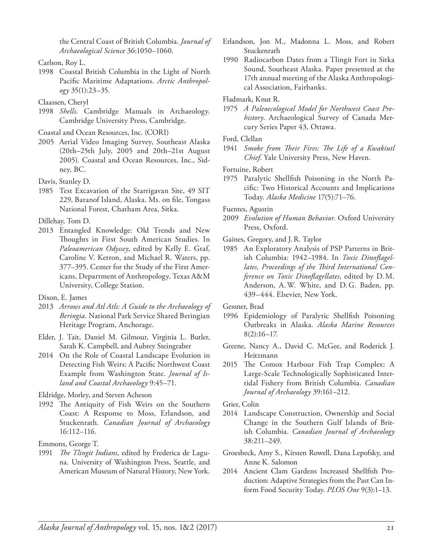the Central Coast of British Columbia. *Journal of Archaeological Science* 36:1050–1060.

- 1998 Coastal British Columbia in the Light of North Pacific Maritime Adaptations. *Arctic Anthropology* 35(1):23–35.
- Claassen, Cheryl
- 1998 *Shells*. Cambridge Manuals in Archaeology. Cambridge University Press, Cambridge.

Coastal and Ocean Resources, Inc. (CORI)

2005 Aerial Video Imaging Survey, Southeast Alaska (20th–25th July, 2005 and 20th–21st August 2005). Coastal and Ocean Resources, Inc., Sidney, BC.

Davis, Stanley D.

1985 Test Excavation of the Starrigavan Site, 49 SIT 229, Baranof Island, Alaska. Ms. on file, Tongass National Forest, Chatham Area, Sitka.

Dillehay, Tom D.

2013 Entangled Knowledge: Old Trends and New Thoughts in First South American Studies. In *Paleoamerican Odyssey*, edited by Kelly E. Graf, Caroline V. Ketron, and Michael R. Waters, pp. 377–395. Center for the Study of the First Americans, Department of Anthropology, Texas A&M University, College Station.

Dixon, E. James

- 2013 *Arrows and Atl Atls: A Guide to the Archaeology of Beringia*. National Park Service Shared Beringian Heritage Program, Anchorage.
- Elder, J. Tait, Daniel M. Gilmour, Virginia L. Butler, Sarah K. Campbell, and Aubrey Steingraber
- 2014 On the Role of Coastal Landscape Evolution in Detecting Fish Weirs: A Pacific Northwest Coast Example from Washington State. *Journal of Island and Coastal Archaeology* 9:45–71.

Eldridge, Morley, and Steven Acheson

1992 The Antiquity of Fish Weirs on the Southern Coast: A Response to Moss, Erlandson, and Stuckenrath. *Canadian Journal of Archaeology* 16:112–116.

Emmons, George T.

1991 *The Tlingit Indians*, edited by Frederica de Laguna. University of Washington Press, Seattle, and American Museum of Natural History, New York.

- Erlandson, Jon M., Madonna L. Moss, and Robert Stuckenrath
- 1990 Radiocarbon Dates from a Tlingit Fort in Sitka Sound, Southeast Alaska. Paper presented at the 17th annual meeting of the Alaska Anthropological Association, Fairbanks.

Fladmark, Knut R.

1975 *A Paleoecological Model for Northwest Coast Prehistory*. Archaeological Survey of Canada Mercury Series Paper 43, Ottawa.

Ford, Clellan

1941 *Smoke from Their Fires: The Life of a Kwakiutl Chief*. Yale University Press, New Haven.

Fortuine, Robert

1975 Paralytic Shellfish Poisoning in the North Pacific: Two Historical Accounts and Implications Today. *Alaska Medicine* 17(5):71–76.

Fuentes, Agustin

2009 *Evolution of Human Behavior*. Oxford University Press, Oxford.

Gaines, Gregory, and J.R. Taylor

1985 An Exploratory Analysis of PSP Patterns in British Columbia: 1942–1984. In *Toxic Dinoflagellates, Proceedings of the Third International Conference on Toxic Dinoflagellates*, edited by D.M. Anderson, A.W. White, and D.G. Baden, pp. 439–444. Elsevier, New York.

Gessner, Brad

- 1996 Epidemiology of Paralytic Shellfish Poisoning Outbreaks in Alaska. *Alaska Marine Resources* 8(2):16–17.
- Greene, Nancy A., David C. McGee, and Roderick J. Heitzmann
- 2015 The Comox Harbour Fish Trap Complex: A Large-Scale Technologically Sophisticated Intertidal Fishery from British Columbia. *Canadian Journal of Archaeology* 39:161–212.

Grier, Colin

- 2014 Landscape Construction, Ownership and Social Change in the Southern Gulf Islands of British Columbia. *Canadian Journal of Archaeology* 38:211–249.
- Groesbeck, Amy S., Kirsten Rowell, Dana Lepofsky, and Anne K. Salomon
- 2014 Ancient Clam Gardens Increased Shellfish Production: Adaptive Strategies from the Past Can Inform Food Security Today. *PLOS One* 9(3):1–13.

Carlson, Roy L.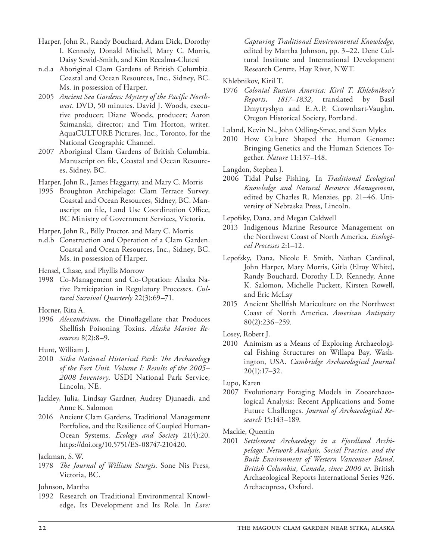- Harper, John R., Randy Bouchard, Adam Dick, Dorothy I. Kennedy, Donald Mitchell, Mary C. Morris, Daisy Sewid-Smith, and Kim Recalma-Clutesi
- n.d.a Aboriginal Clam Gardens of British Columbia. Coastal and Ocean Resources, Inc., Sidney, BC. Ms. in possession of Harper.
- 2005 *Ancient Sea Gardens: Mystery of the Pacific Northwest*. DVD, 50 minutes. David J. Woods, executive producer; Diane Woods, producer; Aaron Szimanski, director; and Tim Horton, writer. AquaCULTURE Pictures, Inc., Toronto, for the National Geographic Channel.
- 2007 Aboriginal Clam Gardens of British Columbia. Manuscript on file, Coastal and Ocean Resources, Sidney, BC.

Harper, John R., James Haggarty, and Mary C. Morris

1995 Broughton Archipelago: Clam Terrace Survey. Coastal and Ocean Resources, Sidney, BC. Manuscript on file, Land Use Coordination Office, BC Ministry of Government Services, Victoria.

Harper, John R., Billy Proctor, and Mary C. Morris

n.d.b Construction and Operation of a Clam Garden. Coastal and Ocean Resources, Inc., Sidney, BC. Ms. in possession of Harper.

Hensel, Chase, and Phyllis Morrow

1998 Co-Management and Co-Optation: Alaska Native Participation in Regulatory Processes. *Cultural Survival Quarterly* 22(3):69–71.

- 1996 *Alexandrium*, the Dinoflagellate that Produces Shellfish Poisoning Toxins. *Alaska Marine Resources* 8(2):8–9.
- Hunt, William J.
- 2010 *Sitka National Historical Park: The Archaeology of the Fort Unit. Volume I: Results of the 2005– 2008 Inventory*. USDI National Park Service, Lincoln, NE.
- Jackley, Julia, Lindsay Gardner, Audrey Djunaedi, and Anne K. Salomon
- 2016 Ancient Clam Gardens, Traditional Management Portfolios, and the Resilience of Coupled Human-Ocean Systems. *Ecology and Society* 21(4):20. https://doi.org/10.5751/ES-08747-210420.

Jackman, S.W.

1978 *The Journal of William Sturgis*. Sone Nis Press, Victoria, BC.

Johnson, Martha

1992 Research on Traditional Environmental Knowledge, Its Development and Its Role. In *Lore:* 

*Capturing Traditional Environmental Knowledge*, edited by Martha Johnson, pp. 3–22. Dene Cultural Institute and International Development Research Centre, Hay River, NWT.

Khlebnikov, Kiril T.

1976 *Colonial Russian America: Kiril T. Khlebnikov's Reports*, *1817–1832*, translated by Basil Dmytryshyn and E.A. P. Crownhart-Vaughn. Oregon Historical Society, Portland.

Laland, Kevin N., John Odling-Smee, and Sean Myles

2010 How Culture Shaped the Human Genome: Bringing Genetics and the Human Sciences Together. *Nature* 11:137–148.

Langdon, Stephen J.

2006 Tidal Pulse Fishing. In *Traditional Ecological Knowledge and Natural Resource Management*, edited by Charles R. Menzies, pp. 21–46. University of Nebraska Press, Lincoln.

Lepofsky, Dana, and Megan Caldwell

- 2013 Indigenous Marine Resource Management on the Northwest Coast of North America. *Ecological Processes* 2:1–12.
- Lepofsky, Dana, Nicole F. Smith, Nathan Cardinal, John Harper, Mary Morris, Gitla (Elroy White), Randy Bouchard, Dorothy I.D. Kennedy, Anne K. Salomon, Michelle Puckett, Kirsten Rowell, and Eric McLay
- 2015 Ancient Shellfish Mariculture on the Northwest Coast of North America. *American Antiquity* 80(2):236–259.

Losey, Robert J.

2010 Animism as a Means of Exploring Archaeological Fishing Structures on Willapa Bay, Washington, USA. *Cambridge Archaeological Journal*  20(1):17–32.

Lupo, Karen

2007 Evolutionary Foraging Models in Zooarchaeological Analysis: Recent Applications and Some Future Challenges. *Journal of Archaeological Research* 15:143–189.

Mackie, Quentin

2001 *Settlement Archaeology in a Fjordland Archipelago: Network Analysis, Social Practice, and the Built Environment of Western Vancouver Island, British Columbia, Canada, since 2000 bp*. British Archaeological Reports International Series 926. Archaeopress, Oxford.

Horner, Rita A.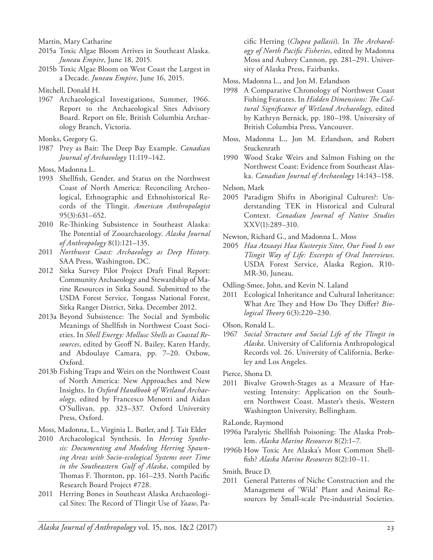Martin, Mary Catharine

- 2015a Toxic Algae Bloom Arrives in Southeast Alaska. *Juneau Empire*, June 18, 2015.
- 2015b Toxic Algae Bloom on West Coast the Largest in a Decade. *Juneau Empire*, June 16, 2015.
- Mitchell, Donald H.
- 1967 Archaeological Investigations, Summer, 1966. Report to the Archaeological Sites Advisory Board. Report on file, British Columbia Archaeology Branch, Victoria.
- Monks, Gregory G.
- 1987 Prey as Bait: The Deep Bay Example. *Canadian Journal of Archaeology* 11:119–142.
- Moss, Madonna L.
- 1993 Shellfish, Gender, and Status on the Northwest Coast of North America: Reconciling Archeological, Ethnographic and Ethnohistorical Records of the Tlingit. *American Anthropologist* 95(3):631–652.
- 2010 Re-Thinking Subsistence in Southeast Alaska: The Potential of Zooarchaeology. *Alaska Journal of Anthropology* 8(1):121–135.
- 2011 *Northwest Coast: Archaeology as Deep History*. SAA Press, Washington, DC.
- 2012 Sitka Survey Pilot Project Draft Final Report: Community Archaeology and Stewardship of Marine Resources in Sitka Sound. Submitted to the USDA Forest Service, Tongass National Forest, Sitka Ranger District, Sitka. December 2012.
- 2013a Beyond Subsistence: The Social and Symbolic Meanings of Shellfish in Northwest Coast Societies. In *Shell Energy: Mollusc Shells as Coastal Resources*, edited by Geoff N. Bailey, Karen Hardy, and Abdoulaye Camara, pp. 7–20. Oxbow, Oxford.
- 2013b Fishing Traps and Weirs on the Northwest Coast of North America: New Approaches and New Insights. In *Oxford Handbook of Wetland Archaeology*, edited by Francesco Menotti and Aidan O'Sullivan, pp. 323–337. Oxford University Press, Oxford.
- Moss, Madonna, L., Virginia L. Butler, and J. Tait Elder
- 2010 Archaeological Synthesis. In *Herring Synthesis: Documenting and Modeling Herring Spawning Areas with Socio-ecological Systems over Time in the Southeastern Gulf of Alaska*, compiled by Thomas F. Thornton, pp. 161–233. North Pacific Research Board Project #728.
- 2011 Herring Bones in Southeast Alaska Archaeological Sites: The Record of Tlingit Use of *Yaaw*, Pa-

cific Herring (*Clupea pallasii*). In *The Archaeology of North Pacific Fisheries*, edited by Madonna Moss and Aubrey Cannon, pp. 281–291. University of Alaska Press, Fairbanks.

- Moss, Madonna L., and Jon M. Erlandson
- 1998 A Comparative Chronology of Northwest Coast Fishing Features. In *Hidden Dimensions: The Cultural Significance of Wetland Archaeology*, edited by Kathryn Bernick, pp. 180–198. University of British Columbia Press, Vancouver.
- Moss, Madonna L., Jon M. Erlandson, and Robert Stuckenrath
- 1990 Wood Stake Weirs and Salmon Fishing on the Northwest Coast: Evidence from Southeast Alaska. *Canadian Journal of Archaeology* 14:143–158.
- Nelson, Mark
- 2005 Paradigm Shifts in Aboriginal Cultures?: Understanding TEK in Historical and Cultural Context. *Canadian Journal of Native Studies* XXV(1):289–310.
- Newton, Richard G., and Madonna L. Moss
- 2005 *Haa Atxaayi Haa Kusteeyix Sitee, Our Food Is our Tlingit Way of Life: Excerpts of Oral Interviews*. USDA Forest Service, Alaska Region, R10- MR-30, Juneau.
- Odling-Smee, John, and Kevin N. Laland
- 2011 Ecological Inheritance and Cultural Inheritance: What Are They and How Do They Differ? *Biological Theory* 6(3):220–230.
- Olson, Ronald L.
- 1967 *Social Structure and Social Life of the Tlingit in Alaska*. University of California Anthropological Records vol. 26. University of California, Berkeley and Los Angeles.
- Pierce, Shona D.
- 2011 Bivalve Growth-Stages as a Measure of Harvesting Intensity: Application on the Southern Northwest Coast. Master's thesis, Western Washington University, Bellingham.
- RaLonde, Raymond
- 1996a Paralytic Shellfish Poisoning: The Alaska Problem. *Alaska Marine Resources* 8(2):1–7.
- 1996b How Toxic Are Alaska's Most Common Shellfish? *Alaska Marine Resources* 8(2):10–11.

Smith, Bruce D.

2011 General Patterns of Niche Construction and the Management of 'Wild' Plant and Animal Resources by Small-scale Pre-industrial Societies.